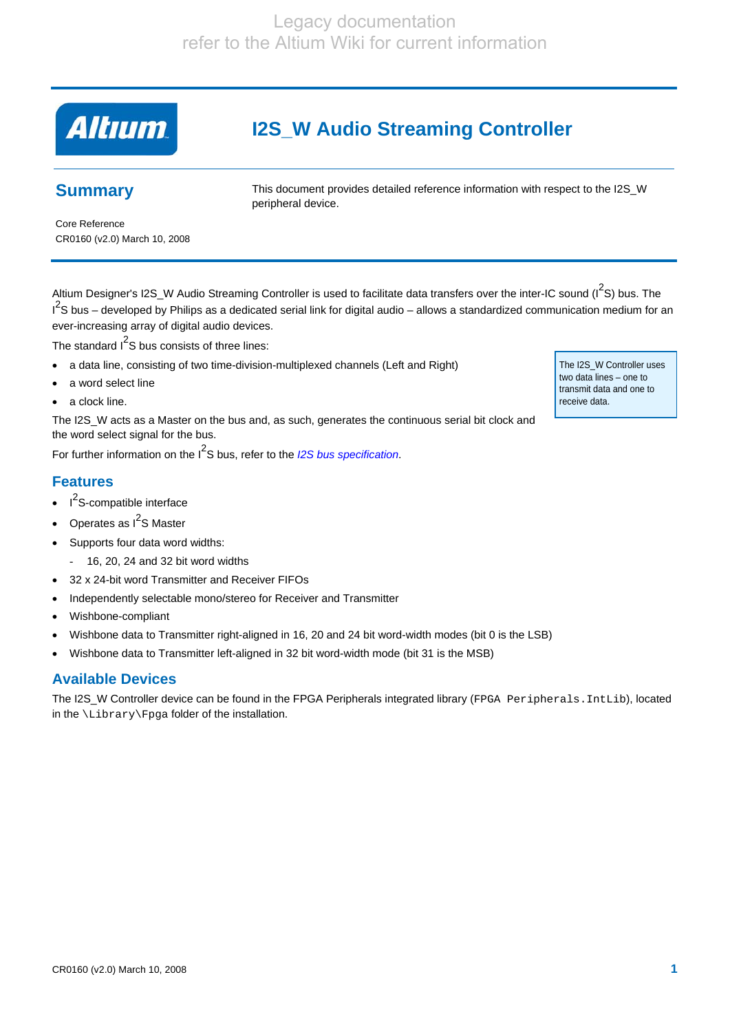

# **I2S\_W Audio Streaming Controller**

### **Summary**

This document provides detailed reference information with respect to the I2S\_W peripheral device.

Core Reference CR0160 (v2.0) March 10, 2008

Altium Designer's I2S\_W Audio Streaming Controller is used to facilitate data transfers over the inter-IC sound (I<sup>2</sup>S) bus. The I<sup>2</sup>S bus – developed by Philips as a dedicated serial link for digital audio – allows a standardized communication medium for an ever-increasing array of digital audio devices.

The standard  $I^2$ S bus consists of three lines:

- a data line, consisting of two time-division-multiplexed channels (Left and Right) The I2S\_W Controller uses
- a word select line
- a clock line.

The I2S\_W acts as a Master on the bus and, as such, generates the continuous serial bit clock and the word select signal for the bus.

For further information on the I2 S bus, refer to the *[I2S bus specification](http://www.nxp.com/acrobat_download/various/I2SBUS.pdf#search=)*.

### **Features**

- $\cdot$   $\int_{0}^{2}$ S-compatible interface
- Operates as l<sup>2</sup>S Master
- Supports four data word widths:
	- 16, 20, 24 and 32 bit word widths
- 32 x 24-bit word Transmitter and Receiver FIFOs
- Independently selectable mono/stereo for Receiver and Transmitter
- Wishbone-compliant
- Wishbone data to Transmitter right-aligned in 16, 20 and 24 bit word-width modes (bit 0 is the LSB)
- Wishbone data to Transmitter left-aligned in 32 bit word-width mode (bit 31 is the MSB)

### **Available Devices**

The I2S\_W Controller device can be found in the FPGA Peripherals integrated library (FPGA Peripherals.IntLib), located in the \Library\Fpga folder of the installation.

two data lines – one to transmit data and one to receive data.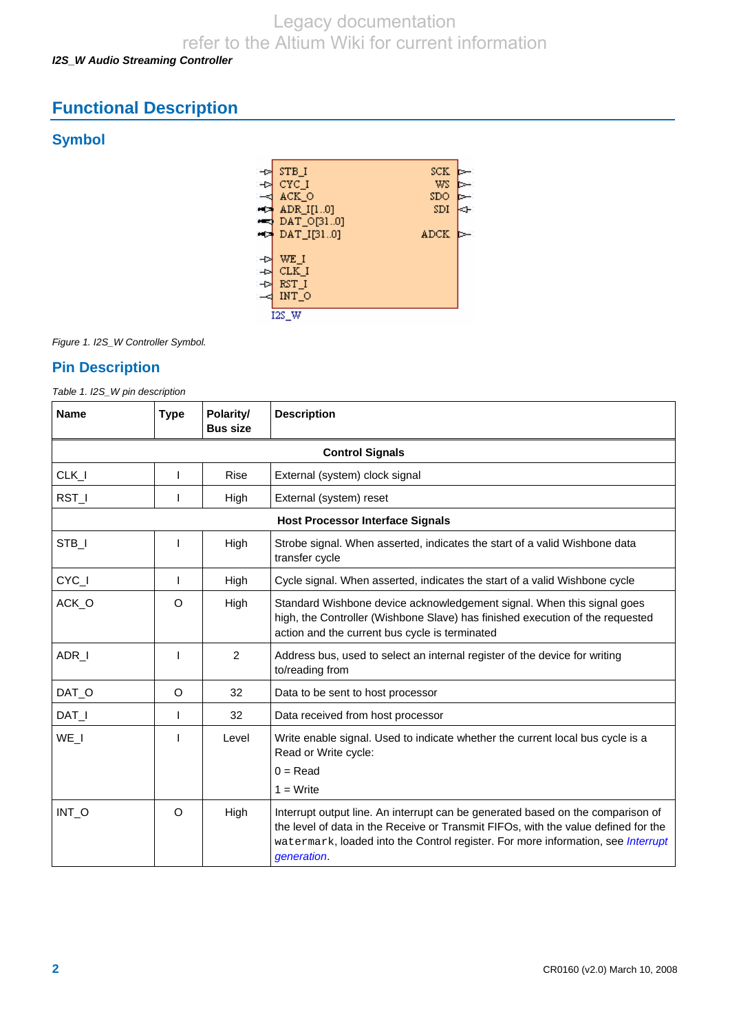*I2S\_W Audio Streaming Controller* 

# **Functional Description**

### **Symbol**



*Figure 1. I2S\_W Controller Symbol.* 

### **Pin Description**

*Table 1. I2S\_W pin description* 

| <b>Name</b>            | <b>Type</b> | Polarity/<br><b>Bus size</b> | <b>Description</b>                                                                                                                                                                                                                                                       |  |  |  |  |
|------------------------|-------------|------------------------------|--------------------------------------------------------------------------------------------------------------------------------------------------------------------------------------------------------------------------------------------------------------------------|--|--|--|--|
| <b>Control Signals</b> |             |                              |                                                                                                                                                                                                                                                                          |  |  |  |  |
| CLK_I                  |             | <b>Rise</b>                  | External (system) clock signal                                                                                                                                                                                                                                           |  |  |  |  |
| RST_I                  |             | High                         | External (system) reset                                                                                                                                                                                                                                                  |  |  |  |  |
|                        |             |                              | <b>Host Processor Interface Signals</b>                                                                                                                                                                                                                                  |  |  |  |  |
| STB_I                  |             | High                         | Strobe signal. When asserted, indicates the start of a valid Wishbone data<br>transfer cycle                                                                                                                                                                             |  |  |  |  |
| CYC_I                  | ı           | High                         | Cycle signal. When asserted, indicates the start of a valid Wishbone cycle                                                                                                                                                                                               |  |  |  |  |
| ACK O                  | O           | High                         | Standard Wishbone device acknowledgement signal. When this signal goes<br>high, the Controller (Wishbone Slave) has finished execution of the requested<br>action and the current bus cycle is terminated                                                                |  |  |  |  |
| ADR_I                  | H           | 2                            | Address bus, used to select an internal register of the device for writing<br>to/reading from                                                                                                                                                                            |  |  |  |  |
| DAT_O                  | $\circ$     | 32                           | Data to be sent to host processor                                                                                                                                                                                                                                        |  |  |  |  |
| DAT_I                  | ı           | 32                           | Data received from host processor                                                                                                                                                                                                                                        |  |  |  |  |
| WE_I                   |             | Level                        | Write enable signal. Used to indicate whether the current local bus cycle is a<br>Read or Write cycle:<br>$0 = Read$<br>$1 = Write$                                                                                                                                      |  |  |  |  |
| INT_O                  | $\circ$     | High                         | Interrupt output line. An interrupt can be generated based on the comparison of<br>the level of data in the Receive or Transmit FIFOs, with the value defined for the<br>watermark, loaded into the Control register. For more information, see Interrupt<br>generation. |  |  |  |  |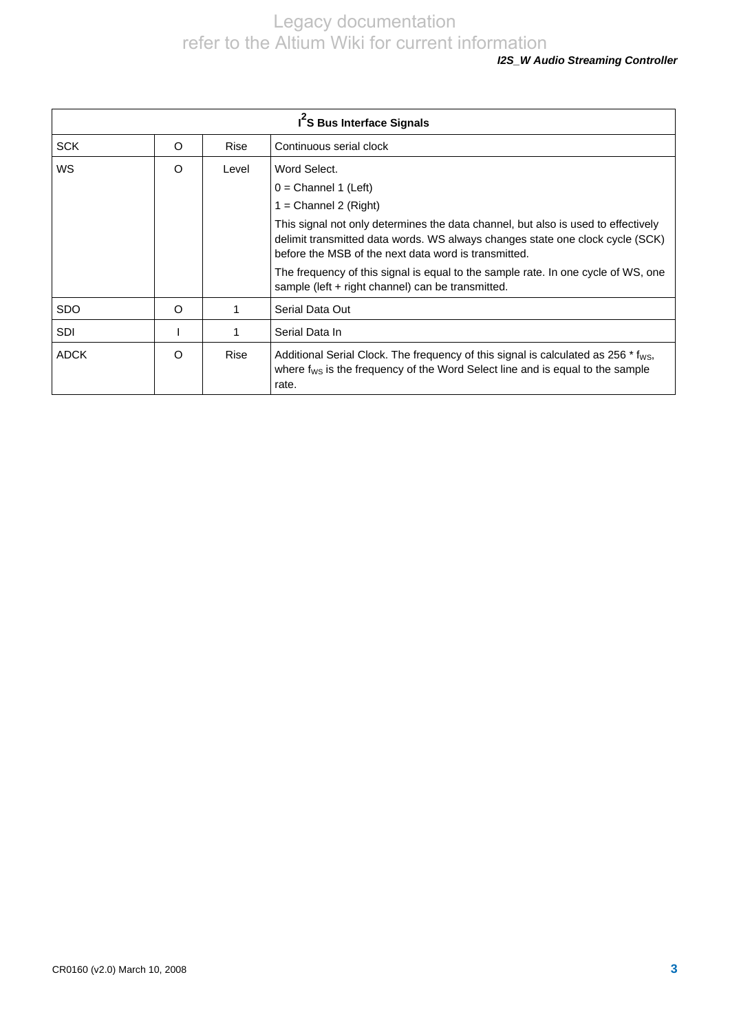| I <sup>2</sup> S Bus Interface Signals |          |             |                                                                                                                                                                                                                            |  |  |  |  |
|----------------------------------------|----------|-------------|----------------------------------------------------------------------------------------------------------------------------------------------------------------------------------------------------------------------------|--|--|--|--|
| <b>SCK</b>                             | $\Omega$ | <b>Rise</b> | Continuous serial clock                                                                                                                                                                                                    |  |  |  |  |
| <b>WS</b>                              | $\Omega$ | Level       | Word Select.                                                                                                                                                                                                               |  |  |  |  |
|                                        |          |             | $0 =$ Channel 1 (Left)                                                                                                                                                                                                     |  |  |  |  |
|                                        |          |             | $1 =$ Channel 2 (Right)                                                                                                                                                                                                    |  |  |  |  |
|                                        |          |             | This signal not only determines the data channel, but also is used to effectively<br>delimit transmitted data words. WS always changes state one clock cycle (SCK)<br>before the MSB of the next data word is transmitted. |  |  |  |  |
|                                        |          |             | The frequency of this signal is equal to the sample rate. In one cycle of WS, one<br>sample (left + right channel) can be transmitted.                                                                                     |  |  |  |  |
| <b>SDO</b>                             | Ω        |             | Serial Data Out                                                                                                                                                                                                            |  |  |  |  |
| <b>SDI</b>                             |          |             | Serial Data In                                                                                                                                                                                                             |  |  |  |  |
| <b>ADCK</b>                            | $\Omega$ | <b>Rise</b> | Additional Serial Clock. The frequency of this signal is calculated as 256 * f <sub>ws</sub> ,<br>where f <sub>ws</sub> is the frequency of the Word Select line and is equal to the sample<br>rate.                       |  |  |  |  |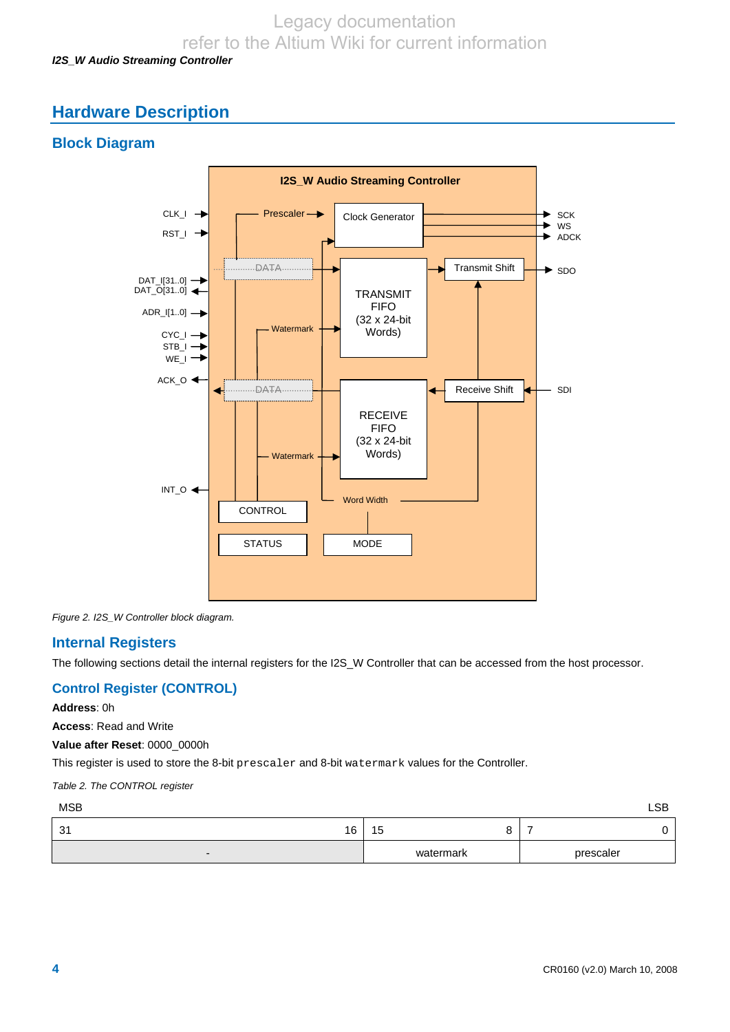# Legacy documentation

refer to the Altium Wiki for current information

### *I2S\_W Audio Streaming Controller*

## **Hardware Description**

### **Block Diagram**





### **Internal Registers**

The following sections detail the internal registers for the I2S\_W Controller that can be accessed from the host processor.

### **Control Register (CONTROL)**

**Address**: 0h

**Access**: Read and Write

**Value after Reset**: 0000\_0000h

This register is used to store the 8-bit prescaler and 8-bit watermark values for the Controller.

*Table 2. The CONTROL register* 

| <b>MSB</b> | LSB |
|------------|-----|
|            |     |

| 16<br>31 | 15        |           |
|----------|-----------|-----------|
| $-$      | watermark | prescaler |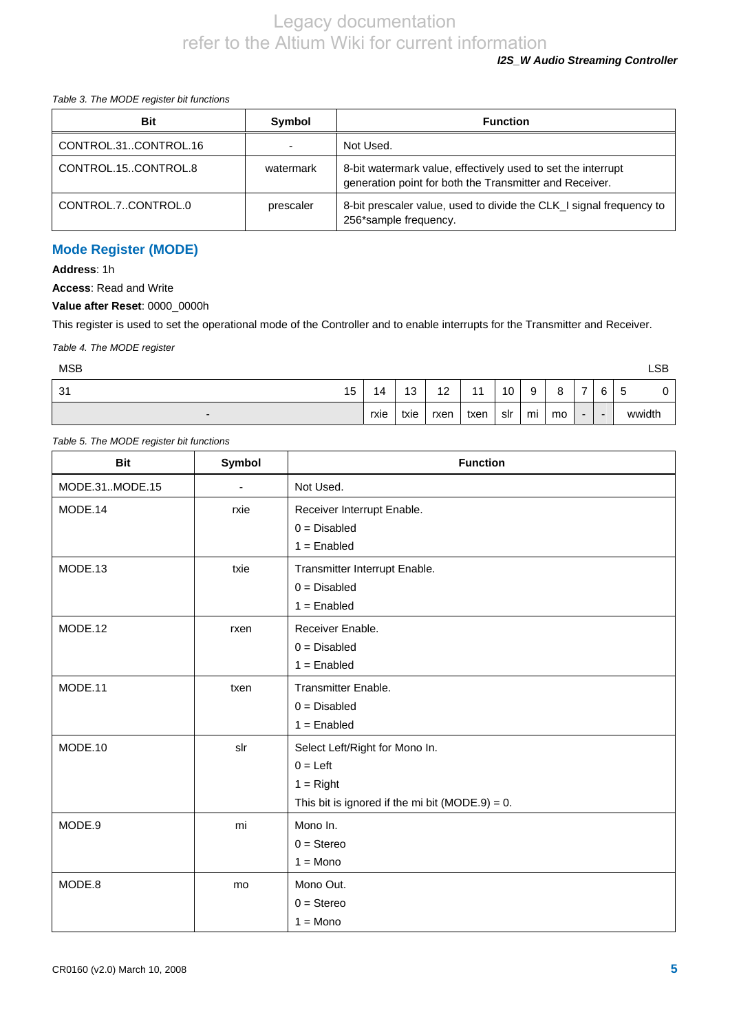#### *Table 3. The MODE register bit functions*

| <b>Bit</b>           | Symbol                   | <b>Function</b>                                                                                                         |
|----------------------|--------------------------|-------------------------------------------------------------------------------------------------------------------------|
| CONTROL.31CONTROL.16 | $\overline{\phantom{0}}$ | Not Used.                                                                                                               |
| CONTROL.15CONTROL.8  | watermark                | 8-bit watermark value, effectively used to set the interrupt<br>generation point for both the Transmitter and Receiver. |
| CONTROL.7CONTROL.0   | prescaler                | 8-bit prescaler value, used to divide the CLK_I signal frequency to<br>256*sample frequency.                            |

### **Mode Register (MODE)**

**Address**: 1h

**Access**: Read and Write

**Value after Reset**: 0000\_0000h

This register is used to set the operational mode of the Controller and to enable interrupts for the Transmitter and Receiver.

*Table 4. The MODE register* 

| <b>MSB</b>               |      |          |                  |            |     |    |               |   |                          | LSB      |
|--------------------------|------|----------|------------------|------------|-----|----|---------------|---|--------------------------|----------|
| 15<br>-31                | 14   | 12<br>ں، | $\sqrt{2}$<br>12 | 4.4<br>. . | 10  |    | $\Omega$<br>O | - | 6                        | - 5<br>0 |
| $\overline{\phantom{0}}$ | rxie | txie     | rxen             | txen       | slr | mi | mo            | - | $\overline{\phantom{0}}$ | wwidth   |

| <b>Bit</b>     | Symbol | <b>Function</b>                                    |
|----------------|--------|----------------------------------------------------|
| MODE.31MODE.15 |        | Not Used.                                          |
| MODE.14        | rxie   | Receiver Interrupt Enable.                         |
|                |        | $0 = Disabled$                                     |
|                |        | $1 =$ Enabled                                      |
| MODE.13        | txie   | Transmitter Interrupt Enable.                      |
|                |        | $0 = Disabled$                                     |
|                |        | $1 =$ Enabled                                      |
| MODE.12        | rxen   | Receiver Enable.                                   |
|                |        | $0 = Disabled$                                     |
|                |        | $1 =$ Enabled                                      |
| MODE.11        | txen   | Transmitter Enable.                                |
|                |        | $0 = Disabled$                                     |
|                |        | $1 =$ Enabled                                      |
| MODE.10        | slr    | Select Left/Right for Mono In.                     |
|                |        | $0 = \text{Left}$                                  |
|                |        | $1 =$ Right                                        |
|                |        | This bit is ignored if the mi bit (MODE.9) = $0$ . |
| MODE.9         | mi     | Mono In.                                           |
|                |        | $0 =$ Stereo                                       |
|                |        | $1 = \text{Mono}$                                  |
| MODE.8         | mo     | Mono Out.                                          |
|                |        | $0 =$ Stereo                                       |
|                |        | $1 = \text{Mono}$                                  |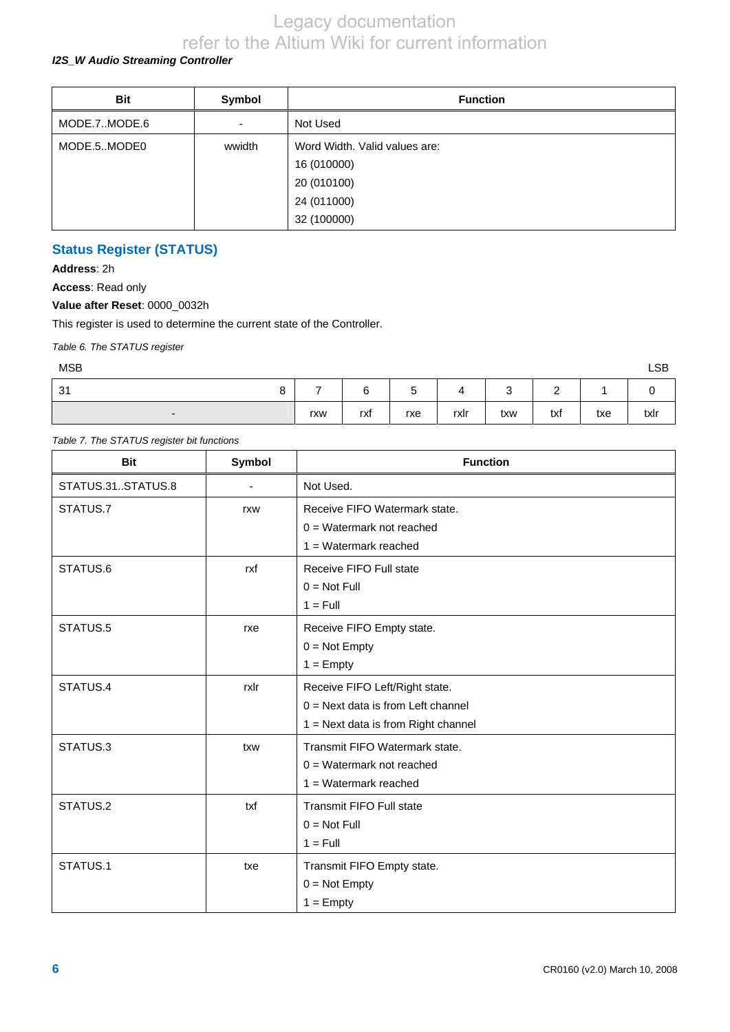### *I2S\_W Audio Streaming Controller*

| <b>Bit</b>   | Symbol | <b>Function</b>               |
|--------------|--------|-------------------------------|
| MODE.7MODE.6 | ۰      | Not Used                      |
| MODE.5MODE0  | wwidth | Word Width, Valid values are: |
|              |        | 16 (010000)                   |
|              |        | 20 (010100)                   |
|              |        | 24 (011000)                   |
|              |        | 32 (100000)                   |

### **Status Register (STATUS)**

#### **Address**: 2h

**Access**: Read only

#### **Value after Reset**: 0000\_0032h

This register is used to determine the current state of the Controller.

*Table 6. The STATUS register* 

| <b>MSB</b>               |        |     |     |             |      |        |        |     | LSB  |
|--------------------------|--------|-----|-----|-------------|------|--------|--------|-----|------|
| 31                       | O<br>o | -   | a   | -<br>∽<br>ັ |      | ⌒<br>ບ | ∽<br>- |     | ີ    |
| $\overline{\phantom{0}}$ |        | rxw | rxf | rxe         | rxlr | txw    | txf    | txe | txlr |

#### *Table 7. The STATUS register bit functions*

| <b>Bit</b>        | <b>Symbol</b> | <b>Function</b>                       |
|-------------------|---------------|---------------------------------------|
| STATUS.31STATUS.8 |               | Not Used.                             |
| STATUS.7          | rxw           | Receive FIFO Watermark state.         |
|                   |               | $0 = Watermark$ not reached           |
|                   |               | $1 = Watermark reached$               |
| STATUS.6          | rxf           | Receive FIFO Full state               |
|                   |               | $0 = Not Full$                        |
|                   |               | $1 = Full$                            |
| STATUS.5          | rxe           | Receive FIFO Empty state.             |
|                   |               | $0 = Not Empty$                       |
|                   |               | $1 =$ Empty                           |
| STATUS.4          | rxlr          | Receive FIFO Left/Right state.        |
|                   |               | $0 =$ Next data is from Left channel  |
|                   |               | $1 =$ Next data is from Right channel |
| STATUS.3          | txw           | Transmit FIFO Watermark state.        |
|                   |               | $0 = Watermark$ not reached           |
|                   |               | $1 = Watermark reached$               |
| STATUS.2          | txf           | <b>Transmit FIFO Full state</b>       |
|                   |               | $0 = Not Full$                        |
|                   |               | $1 = Full$                            |
| STATUS.1          | txe           | Transmit FIFO Empty state.            |
|                   |               | $0 = Not Empty$                       |
|                   |               | $1 =$ Empty                           |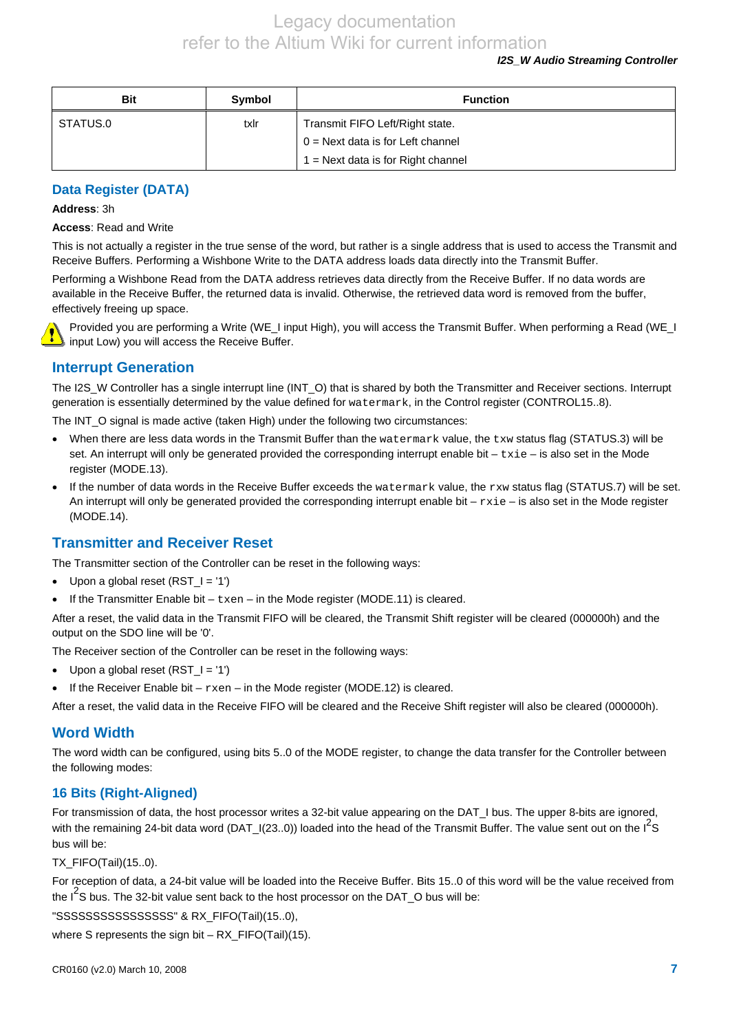<span id="page-6-0"></span>

| <b>Bit</b> | Symbol | <b>Function</b>                     |
|------------|--------|-------------------------------------|
| STATUS.0   | txlr   | Transmit FIFO Left/Right state.     |
|            |        | $0 =$ Next data is for Left channel |
|            |        | 1 = Next data is for Right channel  |

### **Data Register (DATA)**

**Address**: 3h

#### **Access**: Read and Write

This is not actually a register in the true sense of the word, but rather is a single address that is used to access the Transmit and Receive Buffers. Performing a Wishbone Write to the DATA address loads data directly into the Transmit Buffer.

Performing a Wishbone Read from the DATA address retrieves data directly from the Receive Buffer. If no data words are available in the Receive Buffer, the returned data is invalid. Otherwise, the retrieved data word is removed from the buffer, effectively freeing up space.

Provided you are performing a Write (WE\_I input High), you will access the Transmit Buffer. When performing a Read (WE\_I input Low) you will access the Receive Buffer.

### **Interrupt Generation**

The I2S\_W Controller has a single interrupt line (INT\_O) that is shared by both the Transmitter and Receiver sections. Interrupt generation is essentially determined by the value defined for watermark, in the Control register (CONTROL15..8).

The INT\_O signal is made active (taken High) under the following two circumstances:

- When there are less data words in the Transmit Buffer than the watermark value, the txw status flag (STATUS.3) will be set. An interrupt will only be generated provided the corresponding interrupt enable bit  $-\text{txie} - \text{is also set in the Mode}$ register (MODE.13).
- If the number of data words in the Receive Buffer exceeds the watermark value, the rxw status flag (STATUS.7) will be set. An interrupt will only be generated provided the corresponding interrupt enable bit  $-\text{rxi} = -\text{is also set in the Mode register}$ (MODE.14).

### **Transmitter and Receiver Reset**

The Transmitter section of the Controller can be reset in the following ways:

- Upon a global reset (RST\_I = '1')
- If the Transmitter Enable bit  $-\text{txen} \text{in}$  the Mode register (MODE.11) is cleared.

After a reset, the valid data in the Transmit FIFO will be cleared, the Transmit Shift register will be cleared (000000h) and the output on the SDO line will be '0'.

The Receiver section of the Controller can be reset in the following ways:

- Upon a global reset  $(RST_I = '1')$
- If the Receiver Enable bit  $r \times n in$  the Mode register (MODE.12) is cleared.

After a reset, the valid data in the Receive FIFO will be cleared and the Receive Shift register will also be cleared (000000h).

### **Word Width**

The word width can be configured, using bits 5..0 of the MODE register, to change the data transfer for the Controller between the following modes:

### **16 Bits (Right-Aligned)**

For transmission of data, the host processor writes a 32-bit value appearing on the DAT\_I bus. The upper 8-bits are ignored, with the remaining 24-bit data word (DAT\_I(23..0)) loaded into the head of the Transmit Buffer. The value sent out on the I<sup>2</sup>S bus will be:

TX\_FIFO(Tail)(15..0).

For reception of data, a 24-bit value will be loaded into the Receive Buffer. Bits 15..0 of this word will be the value received from the  $1^2$ S bus. The 32-bit value sent back to the host processor on the DAT\_O bus will be:

"SSSSSSSSSSSSSSSS" & RX\_FIFO(Tail)(15..0),

where S represents the sign bit  $- RX$  FIFO(Tail)(15).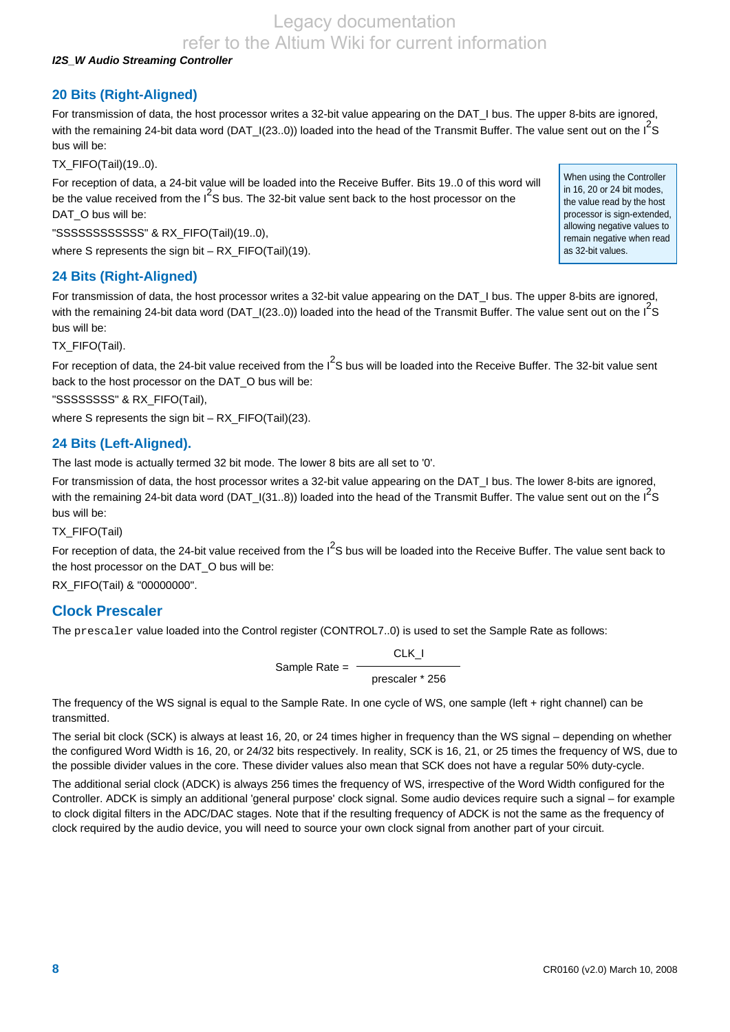### *I2S\_W Audio Streaming Controller*

### **20 Bits (Right-Aligned)**

For transmission of data, the host processor writes a 32-bit value appearing on the DAT\_I bus. The upper 8-bits are ignored, with the remaining 24-bit data word (DAT\_I(23..0)) loaded into the head of the Transmit Buffer. The value sent out on the I<sup>2</sup>S bus will be:

TX\_FIFO(Tail)(19..0).

For reception of data, a 24-bit value will be loaded into the Receive Buffer. Bits 19..0 of this word will be the value received from the  $I^2$ S bus. The 32-bit value sent back to the host processor on the DAT\_O bus will be:

"SSSSSSSSSSSS" & RX\_FIFO(Tail)(19..0),

where S represents the sign bit  $- RX$  FIFO(Tail)(19).

### **24 Bits (Right-Aligned)**

For transmission of data, the host processor writes a 32-bit value appearing on the DAT\_I bus. The upper 8-bits are ignored, with the remaining 24-bit data word (DAT\_I(23..0)) loaded into the head of the Transmit Buffer. The value sent out on the I<sup>2</sup>S bus will be:

TX\_FIFO(Tail).

For reception of data, the 24-bit value received from the  $1^2$ S bus will be loaded into the Receive Buffer. The 32-bit value sent back to the host processor on the DAT\_O bus will be:

"SSSSSSSS" & RX\_FIFO(Tail),

where S represents the sign bit - RX\_FIFO(Tail)(23).

### **24 Bits (Left-Aligned).**

The last mode is actually termed 32 bit mode. The lower 8 bits are all set to '0'.

For transmission of data, the host processor writes a 32-bit value appearing on the DAT\_I bus. The lower 8-bits are ignored, with the remaining 24-bit data word (DAT\_I(31..8)) loaded into the head of the Transmit Buffer. The value sent out on the I<sup>2</sup>S bus will be:

TX\_FIFO(Tail)

For reception of data, the 24-bit value received from the I<sup>2</sup>S bus will be loaded into the Receive Buffer. The value sent back to the host processor on the DAT\_O bus will be:

RX\_FIFO(Tail) & "00000000".

### **Clock Prescaler**

The prescaler value loaded into the Control register (CONTROL7..0) is used to set the Sample Rate as follows:

CLK\_I Sample Rate =  $$ prescaler \* 256

The frequency of the WS signal is equal to the Sample Rate. In one cycle of WS, one sample (left + right channel) can be transmitted.

The serial bit clock (SCK) is always at least 16, 20, or 24 times higher in frequency than the WS signal – depending on whether the configured Word Width is 16, 20, or 24/32 bits respectively. In reality, SCK is 16, 21, or 25 times the frequency of WS, due to the possible divider values in the core. These divider values also mean that SCK does not have a regular 50% duty-cycle.

The additional serial clock (ADCK) is always 256 times the frequency of WS, irrespective of the Word Width configured for the Controller. ADCK is simply an additional 'general purpose' clock signal. Some audio devices require such a signal – for example to clock digital filters in the ADC/DAC stages. Note that if the resulting frequency of ADCK is not the same as the frequency of clock required by the audio device, you will need to source your own clock signal from another part of your circuit.

When using the Controller in 16, 20 or 24 bit modes, the value read by the host processor is sign-extended, allowing negative values to remain negative when read as 32-bit values.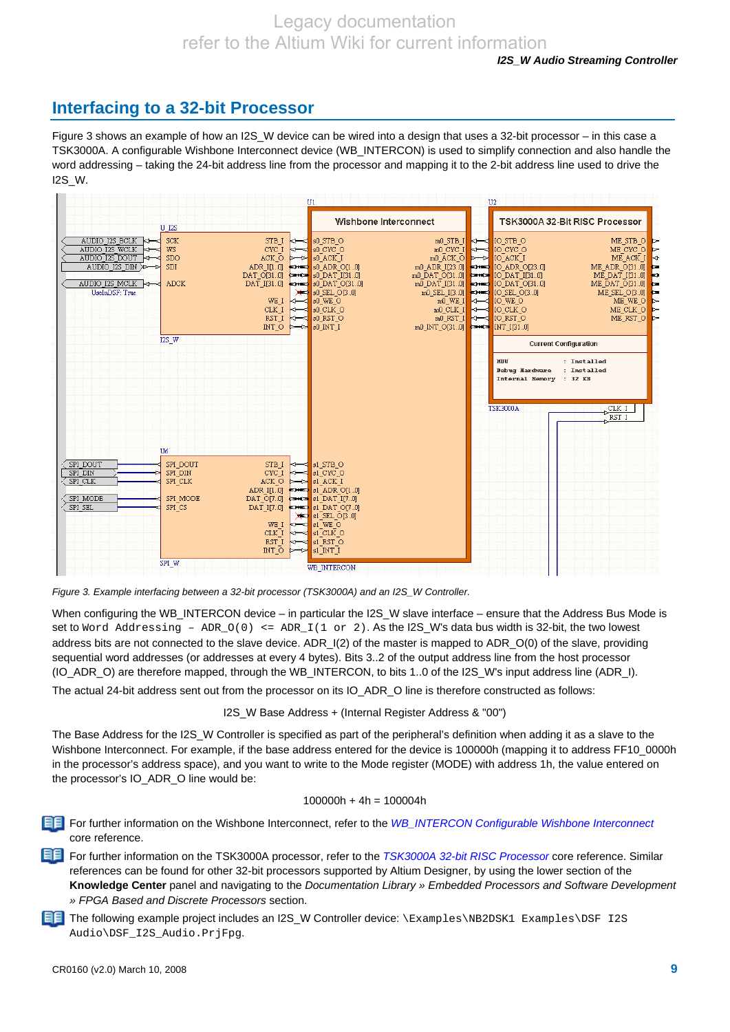### **Interfacing to a 32-bit Processor**

Figure 3 shows an example of how an I2S\_W device can be wired into a design that uses a 32-bit processor – in this case a TSK3000A. A configurable Wishbone Interconnect device (WB\_INTERCON) is used to simplify connection and also handle the word addressing – taking the 24-bit address line from the processor and mapping it to the 2-bit address line used to drive the I2S\_W.



*Figure 3. Example interfacing between a 32-bit processor (TSK3000A) and an I2S\_W Controller.* 

When configuring the WB\_INTERCON device – in particular the I2S\_W slave interface – ensure that the Address Bus Mode is set to Word Addressing –  $ADR_O(0) \leq ADR_I(1 \text{ or } 2)$ . As the I2S\_W's data bus width is 32-bit, the two lowest address bits are not connected to the slave device. ADR\_I(2) of the master is mapped to ADR\_O(0) of the slave, providing sequential word addresses (or addresses at every 4 bytes). Bits 3..2 of the output address line from the host processor (IO\_ADR\_O) are therefore mapped, through the WB\_INTERCON, to bits 1..0 of the I2S\_W's input address line (ADR\_I).

The actual 24-bit address sent out from the processor on its IO\_ADR\_O line is therefore constructed as follows:

I2S\_W Base Address + (Internal Register Address & "00")

The Base Address for the I2S\_W Controller is specified as part of the peripheral's definition when adding it as a slave to the Wishbone Interconnect. For example, if the base address entered for the device is 100000h (mapping it to address FF10\_0000h) in the processor's address space), and you want to write to the Mode register (MODE) with address 1h, the value entered on the processor's IO\_ADR\_O line would be:

#### 100000h + 4h = 100004h

For further information on the Wishbone Interconnect, refer to the *WB\_INTERCON Configurable Wishbone Interconnect* core reference.

For further information on the TSK3000A processor, refer to the *TSK3000A 32-bit RISC Processor* core reference. Similar references can be found for other 32-bit processors supported by Altium Designer, by using the lower section of the **Knowledge Center** panel and navigating to the *Documentation Library » Embedded Processors and Software Development » FPGA Based and Discrete Processors* section.

The following example project includes an I2S\_W Controller device: \Examples\NB2DSK1 Examples\DSF I2S Audio\DSF\_I2S\_Audio.PrjFpg.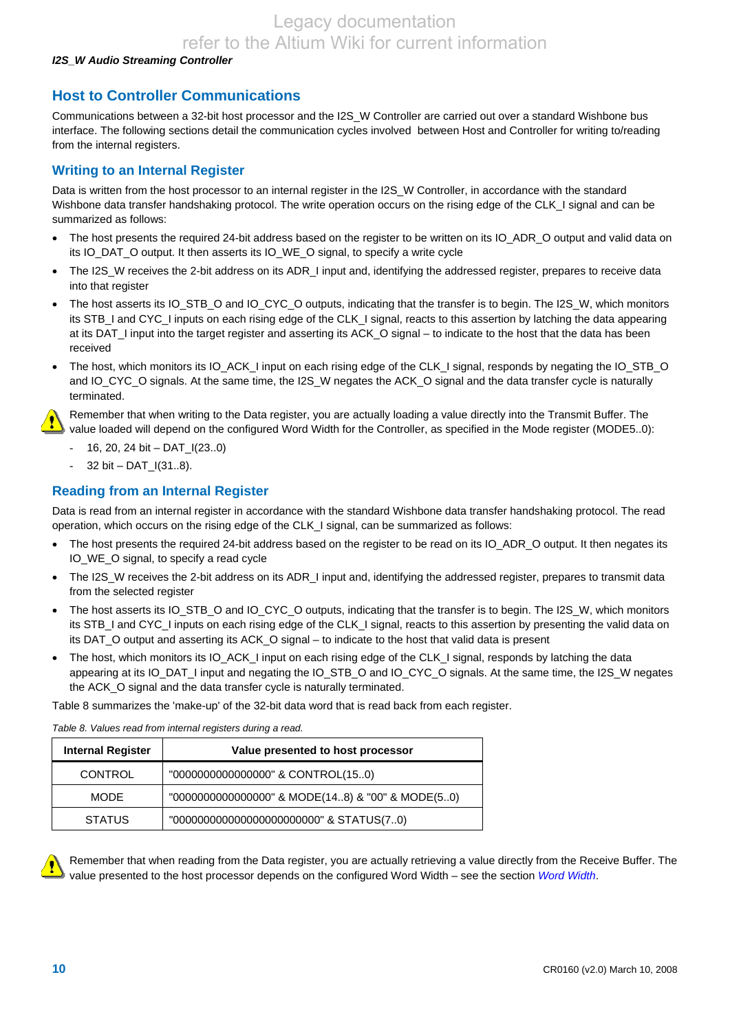### *I2S\_W Audio Streaming Controller*

### **Host to Controller Communications**

Communications between a 32-bit host processor and the I2S\_W Controller are carried out over a standard Wishbone bus interface. The following sections detail the communication cycles involved between Host and Controller for writing to/reading from the internal registers.

### **Writing to an Internal Register**

Data is written from the host processor to an internal register in the I2S\_W Controller, in accordance with the standard Wishbone data transfer handshaking protocol. The write operation occurs on the rising edge of the CLK\_I signal and can be summarized as follows:

- The host presents the required 24-bit address based on the register to be written on its IO\_ADR\_O output and valid data on its IO\_DAT\_O output. It then asserts its IO\_WE\_O signal, to specify a write cycle
- The I2S\_W receives the 2-bit address on its ADR\_I input and, identifying the addressed register, prepares to receive data into that register
- The host asserts its IO\_STB\_O and IO\_CYC\_O outputs, indicating that the transfer is to begin. The I2S\_W, which monitors its STB\_I and CYC\_I inputs on each rising edge of the CLK\_I signal, reacts to this assertion by latching the data appearing at its DAT\_I input into the target register and asserting its ACK\_O signal – to indicate to the host that the data has been received
- The host, which monitors its IO\_ACK\_I input on each rising edge of the CLK\_I signal, responds by negating the IO\_STB\_O and IO\_CYC\_O signals. At the same time, the I2S\_W negates the ACK\_O signal and the data transfer cycle is naturally terminated.

Remember that when writing to the Data register, you are actually loading a value directly into the Transmit Buffer. The value loaded will depend on the configured Word Width for the Controller, as specified in the Mode register (MODE5..0):

- $-$  16, 20, 24 bit DAT\_I(23..0)
- 32 bit DAT I(31..8).

### **Reading from an Internal Register**

Data is read from an internal register in accordance with the standard Wishbone data transfer handshaking protocol. The read operation, which occurs on the rising edge of the CLK\_I signal, can be summarized as follows:

- The host presents the required 24-bit address based on the register to be read on its IO\_ADR\_O output. It then negates its IO\_WE\_O signal, to specify a read cycle
- The I2S\_W receives the 2-bit address on its ADR\_I input and, identifying the addressed register, prepares to transmit data from the selected register
- The host asserts its IO\_STB\_O and IO\_CYC\_O outputs, indicating that the transfer is to begin. The I2S\_W, which monitors its STB\_I and CYC\_I inputs on each rising edge of the CLK\_I signal, reacts to this assertion by presenting the valid data on its DAT\_O output and asserting its ACK\_O signal – to indicate to the host that valid data is present
- The host, which monitors its IO\_ACK\_I input on each rising edge of the CLK\_I signal, responds by latching the data appearing at its IO\_DAT\_I input and negating the IO\_STB\_O and IO\_CYC\_O signals. At the same time, the I2S\_W negates the ACK\_O signal and the data transfer cycle is naturally terminated.

Table 8 summarizes the 'make-up' of the 32-bit data word that is read back from each register.

*Table 8. Values read from internal registers during a read.* 

| <b>Internal Register</b> | Value presented to host processor                 |
|--------------------------|---------------------------------------------------|
| <b>CONTROL</b>           | "000000000000000000" & CONTROL(150)               |
| <b>MODE</b>              | "00000000000000000" & MODE(148) & "00" & MODE(50) |
| <b>STATUS</b>            | "00000000000000000000000000000" & STATUS(70)      |

Remember that when reading from the Data register, you are actually retrieving a value directly from the Receive Buffer. The value presented to the host processor depends on the configured Word Width – see the section *[Word Width](#page-6-0)*.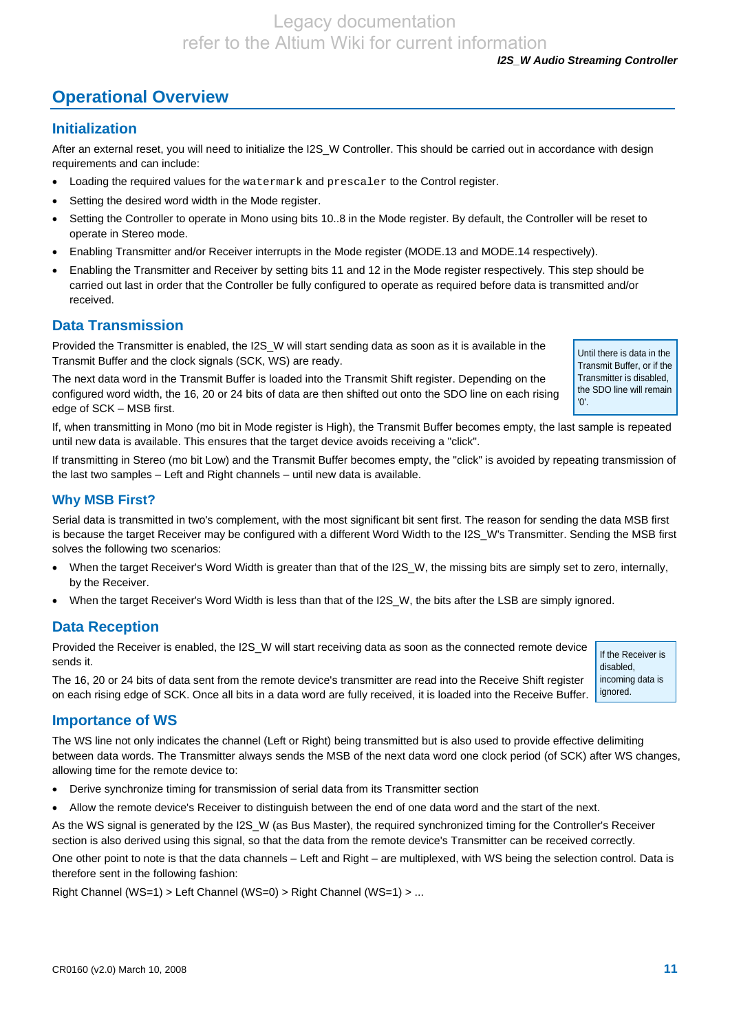#### *I2S\_W Audio Streaming Controller*

### **Operational Overview**

### **Initialization**

After an external reset, you will need to initialize the I2S\_W Controller. This should be carried out in accordance with design requirements and can include:

- Loading the required values for the watermark and prescaler to the Control register.
- Setting the desired word width in the Mode register.
- Setting the Controller to operate in Mono using bits 10..8 in the Mode register. By default, the Controller will be reset to operate in Stereo mode.
- Enabling Transmitter and/or Receiver interrupts in the Mode register (MODE.13 and MODE.14 respectively).
- Enabling the Transmitter and Receiver by setting bits 11 and 12 in the Mode register respectively. This step should be carried out last in order that the Controller be fully configured to operate as required before data is transmitted and/or received.

### **Data Transmission**

Provided the Transmitter is enabled, the I2S W will start sending data as soon as it is available in the Transmit Buffer and the clock signals (SCK, WS) are ready.

The next data word in the Transmit Buffer is loaded into the Transmit Shift register. Depending on the configured word width, the 16, 20 or 24 bits of data are then shifted out onto the SDO line on each rising edge of SCK – MSB first.

Transmit Buffer, or if the Transmitter is disabled, the SDO line will remain '0'.

If, when transmitting in Mono (mo bit in Mode register is High), the Transmit Buffer becomes empty, the last sample is repeated until new data is available. This ensures that the target device avoids receiving a "click".

If transmitting in Stereo (mo bit Low) and the Transmit Buffer becomes empty, the "click" is avoided by repeating transmission of the last two samples – Left and Right channels – until new data is available.

### **Why MSB First?**

Serial data is transmitted in two's complement, with the most significant bit sent first. The reason for sending the data MSB first is because the target Receiver may be configured with a different Word Width to the I2S\_W's Transmitter. Sending the MSB first solves the following two scenarios:

- When the target Receiver's Word Width is greater than that of the I2S\_W, the missing bits are simply set to zero, internally, by the Receiver.
- When the target Receiver's Word Width is less than that of the I2S\_W, the bits after the LSB are simply ignored.

### **Data Reception**

Provided the Receiver is enabled, the I2S\_W will start receiving data as soon as the connected remote device sends it.

The 16, 20 or 24 bits of data sent from the remote device's transmitter are read into the Receive Shift register on each rising edge of SCK. Once all bits in a data word are fully received, it is loaded into the Receive Buffer.

### **Importance of WS**

The WS line not only indicates the channel (Left or Right) being transmitted but is also used to provide effective delimiting between data words. The Transmitter always sends the MSB of the next data word one clock period (of SCK) after WS changes, allowing time for the remote device to:

- Derive synchronize timing for transmission of serial data from its Transmitter section
- Allow the remote device's Receiver to distinguish between the end of one data word and the start of the next.

As the WS signal is generated by the I2S W (as Bus Master), the required synchronized timing for the Controller's Receiver section is also derived using this signal, so that the data from the remote device's Transmitter can be received correctly.

One other point to note is that the data channels – Left and Right – are multiplexed, with WS being the selection control. Data is therefore sent in the following fashion:

Right Channel (WS=1) > Left Channel (WS=0) > Right Channel (WS=1) > ...

If the Receiver is disabled, incoming data is ignored.